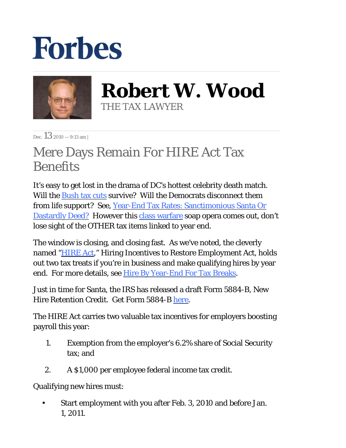## **Forbes**



**Robert W. Wood** THE TAX LAWYER

Dec.  $13_{2010} - 9:13$  am |

## Mere Days Remain For HIRE Act Tax **Benefits**

It's easy to get lost in the drama of DC's hottest celebrity death match. Will the **Bush tax cuts** survive? Will the Democrats disconnect them from life support? See, [Year-End Tax Rates: Sanctimonious Santa Or](http://blogs.forbes.com/robertwood/2010/12/09/year-end-tax-rates-sanctimonious-santa-or-dastardly-deed/) [Dastardly Deed?](http://blogs.forbes.com/robertwood/2010/12/09/year-end-tax-rates-sanctimonious-santa-or-dastardly-deed/) However this [class warfare](http://blogs.forbes.com/beltway/2010/12/08/the-poisonous-economics-of-class-warfare-tax-policy/) soap opera comes out, don't lose sight of the OTHER tax items linked to year end.

The window is closing, and closing fast. As we've noted, the cleverly named ["HIRE Act](http://www.opencongress.org/bill/111-h2847/show)," Hiring Incentives to Restore Employment Act, holds out two tax treats if you're in business and make qualifying hires by year end. For more details, see [Hire By Year-End For Tax Breaks](http://blogs.forbes.com/robertwood/2010/10/12/hire-by-year-end-for-tax-breaks/).

Just in time for Santa, the IRS has released a draft Form 5884-B, New Hire Retention Credit. Get Form 5884-B [here](http://www.irs.gov/pub/irs-dft/f5884b--dft.pdf).

The HIRE Act carries two valuable tax incentives for employers boosting payroll this year:

- Exemption from the employer's 6.2% share of Social Security tax; and 1.
- 2. A \$1,000 per employee federal income tax credit.

Qualifying new hires must:

Start employment with you after Feb. 3, 2010 and before Jan. 1, 2011. •